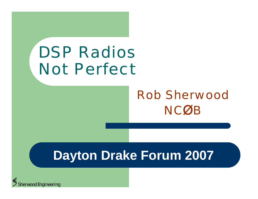# DSP Radios Not Perfect

## Rob Sherwood**NCØE**

## **Dayton Drake Forum 2007**

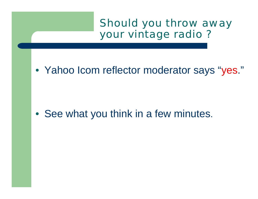## Should you throw away your vintage radio ?

• Yahoo Icom reflector moderator says "yes."

• See what you think in a few minutes.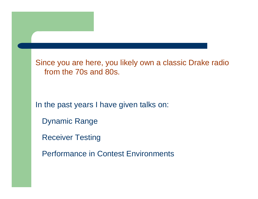Since you are here, you likely own a classic Drake radio from the 70s and 80s.

In the past years I have given talks on:

Dynamic Range

Receiver Testing

Performance in Contest Environments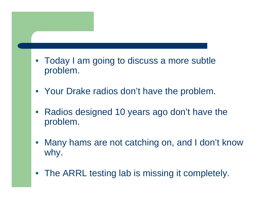- Today I am going to discuss a more subtle problem.
- Your Drake radios don't have the problem.
- $\bullet$  Radios designed 10 years ago don't have the problem.
- $\bullet$  Many hams are not catching on, and I don't know why.
- The ARRL testing lab is missing it completely.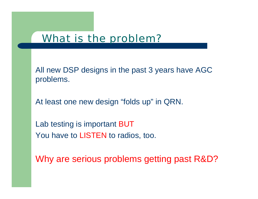## What is the problem?

All new DSP designs in the past 3 years have AGC problems.

At least one new design "folds up" in QRN.

Lab testing is important BUT You have to LISTEN to radios, too.

Why are serious problems getting past R&D?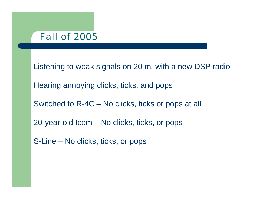### Fall of 2005

Listening to weak signals on 20 m. with a new DSP radio Hearing annoying clicks, ticks, and pops Switched to R-4C – No clicks, ticks or pops at all 20-year-old Icom – No clicks, ticks, or pops

S-Line – No clicks, ticks, or pops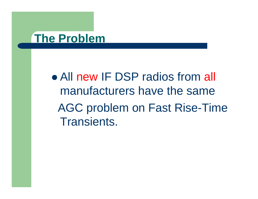## **The Problem**

• All new IF DSP radios from all manufacturers have the sameAGC problem on Fast Rise-Time Transients.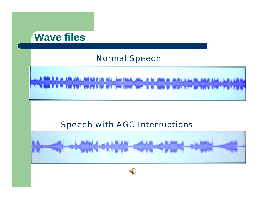

### Normal Speech



### Speech with AGC Interruptions



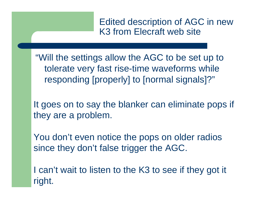Edited description of AGC in new K3 from Elecraft web site

"Will the settings allow the AGC to be set up to tolerate very fast rise-time waveforms while responding [properly] to [normal signals]?"

It goes on to say the blanker can eliminate pops if they are a problem.

You don't even notice the pops on older radios since they don't false trigger the AGC.

I can't wait to listen to the K3 to see if they got it right.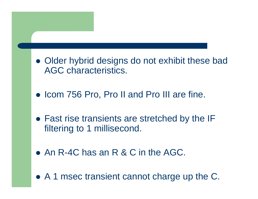- Older hybrid designs do not exhibit these bad AGC characteristics.
- Icom 756 Pro, Pro II and Pro III are fine.
- Fast rise transients are stretched by the IF filtering to 1 millisecond.
- An R-4C has an R & C in the AGC.
- A 1 msec transient cannot charge up the C.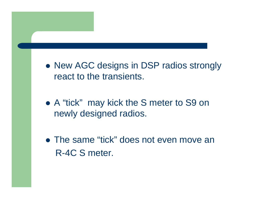- New AGC designs in DSP radios strongly react to the transients.
- A "tick" may kick the S meter to S9 on newly designed radios.
- The same "tick" does not even move an R-4C S meter.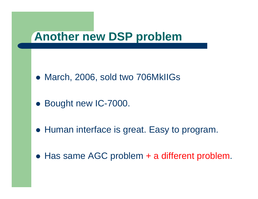## **Another new DSP problem**

- March, 2006, sold two 706MkIIGs
- Bought new IC-7000.
- **Human interface is great. Easy to program.**
- Has same AGC problem + a different problem.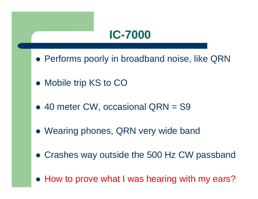## **IC-7000**

- Performs poorly in broadband noise, like QRN
- Mobile trip KS to CO
- 40 meter CW, occasional QRN = S9
- Wearing phones, QRN very wide band
- Crashes way outside the 500 Hz CW passband
- How to prove what I was hearing with my ears?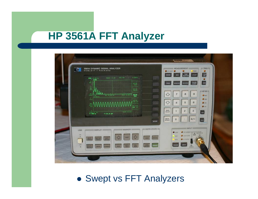## **HP 3561A FFT Analyzer**

| <b>3561A DYNAMIC SIGNAL ANALYZER</b><br>HEWLETT . PACKARD<br>$1 - 100A$<br><b>RANDO CARDO TWO RMS</b><br><b>PM ROOM</b><br>U<br>떡<br>驅                                                                                                                                                                                                                                                   | <b>MEASUREMENT</b><br><b>JIE TAID IN</b><br>J <sub>max</sub><br>o<br><b>Quinter O</b><br>ο<br>F<br><b>TIME</b><br>START<br>MODE<br>ANG<br>O<br>щ<br>PAUSE<br>sounds)<br>rmso<br>noow<br>武林内銀河 |
|------------------------------------------------------------------------------------------------------------------------------------------------------------------------------------------------------------------------------------------------------------------------------------------------------------------------------------------------------------------------------------------|-----------------------------------------------------------------------------------------------------------------------------------------------------------------------------------------------|
| 鄂<br>ATURY 12, 198-9<br>MUSIC Av<br>照面<br><b>AAAAAAAA</b>                                                                                                                                                                                                                                                                                                                                | $\triangle$<br>9<br>8<br>7<br><b>Direct</b><br>$Q$ imi<br>♦<br>6<br>5<br>4<br>2.5 <sub>cm</sub>                                                                                               |
| 1.99 1.1<br><b>Turned</b><br>in task or<br>10-181-32 APT                                                                                                                                                                                                                                                                                                                                 | $Q$ for<br>$\mathbf{3}$<br><b>BRA</b><br>$\overline{z}$<br>國<br><b><i>VALUE</i></b><br>$+/-$<br>$\sim$                                                                                        |
| <b>MOUNT</b><br><b>JOIN INSTRUSTATE INC.</b><br><b>CHECK OF STATE COLLEGE AND INCOME.</b><br>LINE:<br><b>AN</b><br>$\ddot{\triangledown}$<br>$\overline{\phantom{a}}$<br><b>FAIR</b><br><b>MECHA</b><br>$\frac{1}{2}$<br><b>MAY</b><br><b>SALE</b><br><b>DETAIL</b><br>m<br><b>STORY</b><br>$\frac{1}{2}$<br>$\frac{1}{2}$<br><b>MAIN</b><br><b>Pilmon</b><br>UNITS.<br>٠<br><b>PERU</b> | <b>BACK</b><br><b>A</b><br>0<br><b>INPUT SIM</b><br><b>COLOR</b><br><b>CALCULATION</b><br><b>WHY AVE IN</b><br>ددته<br>$2 \times 100000$<br>ALCOHOL:<br>m<br>۰<br>GRANDEL                     |

### • Swept vs FFT Analyzers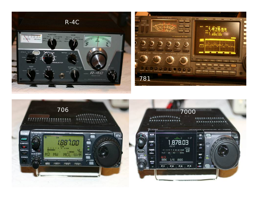



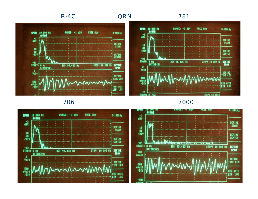#### R-4C781**QRN**



706

#### 7000

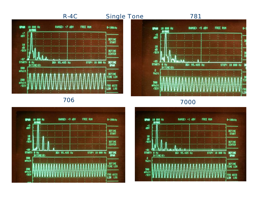#### R-4C

#### Single Tone 781



706



7000



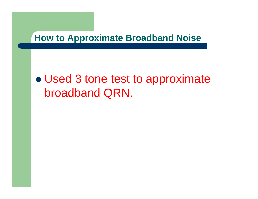**How to Approximate Broadband Noise**

#### $\bullet$  Used 3 tone test to approximate broadband QRN.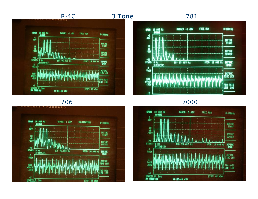

#### 3 Tone

#### 781





7000



706

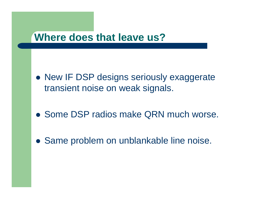## **Where does that leave us?**

- New IF DSP designs seriously exaggerate transient noise on weak signals.
- Some DSP radios make QRN much worse.
- Same problem on unblankable line noise.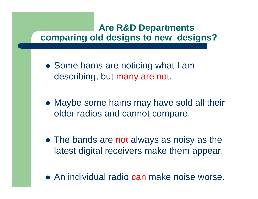## **Are R&D Departments comparing old designs to new designs?**

- Some hams are noticing what I am describing, but many are not.
- Maybe some hams may have sold all their older radios and cannot compare.
- The bands are not always as noisy as the latest digital receivers make them appear.
- An individual radio can make noise worse.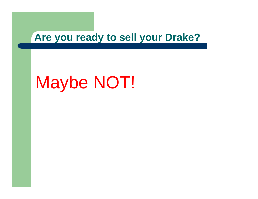## **Are you ready to sell your Drake?**

## Maybe NOT!